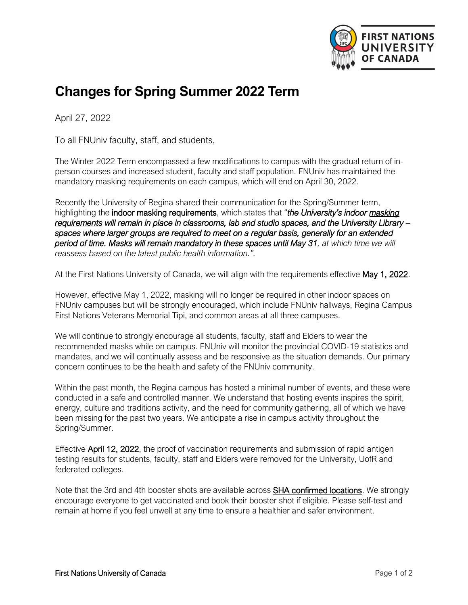

## **Changes for Spring Summer 2022 Term**

April 27, 2022

To all FNUniv faculty, staff, and students,

The Winter 2022 Term encompassed a few modifications to campus with the gradual return of inperson courses and increased student, faculty and staff population. FNUniv has maintained the mandatory masking requirements on each campus, which will end on April 30, 2022.

Recently the University of Regina shared their communication for the Spring/Summer term, highlighting the indoor masking requirements, which states that "*the University's indoor [masking](https://can01.safelinks.protection.outlook.com/?url=https%3A%2F%2Fwww.uregina.ca%2Fterm-updates%2F&data=05%7C01%7Cbrockthunder%40firstnationsuniversity.ca%7C7d8091c3e5d745b8f6ad08da2219876a%7C0c3e35ccf1334d46a68b18993fa7666e%7C0%7C0%7C637859791018989948%7CUnknown%7CTWFpbGZsb3d8eyJWIjoiMC4wLjAwMDAiLCJQIjoiV2luMzIiLCJBTiI6Ik1haWwiLCJXVCI6Mn0%3D%7C3000%7C%7C%7C&sdata=UL0yPALkxFlt3FJsxmqRK2mHqfiUPVpw6kI75kissrc%3D&reserved=0)  [requirements](https://can01.safelinks.protection.outlook.com/?url=https%3A%2F%2Fwww.uregina.ca%2Fterm-updates%2F&data=05%7C01%7Cbrockthunder%40firstnationsuniversity.ca%7C7d8091c3e5d745b8f6ad08da2219876a%7C0c3e35ccf1334d46a68b18993fa7666e%7C0%7C0%7C637859791018989948%7CUnknown%7CTWFpbGZsb3d8eyJWIjoiMC4wLjAwMDAiLCJQIjoiV2luMzIiLCJBTiI6Ik1haWwiLCJXVCI6Mn0%3D%7C3000%7C%7C%7C&sdata=UL0yPALkxFlt3FJsxmqRK2mHqfiUPVpw6kI75kissrc%3D&reserved=0) will remain in place in classrooms, lab and studio spaces, and the University Library – spaces where larger groups are required to meet on a regular basis, generally for an extended period of time. Masks will remain mandatory in these spaces until May 31, at which time we will reassess based on the latest public health information.".*

At the First Nations University of Canada, we will align with the requirements effective May 1, 2022.

However, effective May 1, 2022, masking will no longer be required in other indoor spaces on FNUniv campuses but will be strongly encouraged, which include FNUniv hallways, Regina Campus First Nations Veterans Memorial Tipi, and common areas at all three campuses.

We will continue to strongly encourage all students, faculty, staff and Elders to wear the recommended masks while on campus. FNUniv will monitor the provincial COVID-19 statistics and mandates, and we will continually assess and be responsive as the situation demands. Our primary concern continues to be the health and safety of the FNUniv community.

Within the past month, the Regina campus has hosted a minimal number of events, and these were conducted in a safe and controlled manner. We understand that hosting events inspires the spirit, energy, culture and traditions activity, and the need for community gathering, all of which we have been missing for the past two years. We anticipate a rise in campus activity throughout the Spring/Summer.

Effective April 12, 2022, the proof of vaccination requirements and submission of rapid antigen testing results for students, faculty, staff and Elders were removed for the University, UofR and federated colleges.

Note that the 3rd and 4th booster shots are available across **SHA confirmed locations**. We strongly encourage everyone to get vaccinated and book their booster shot if eligible. Please self-test and remain at home if you feel unwell at any time to ensure a healthier and safer environment.